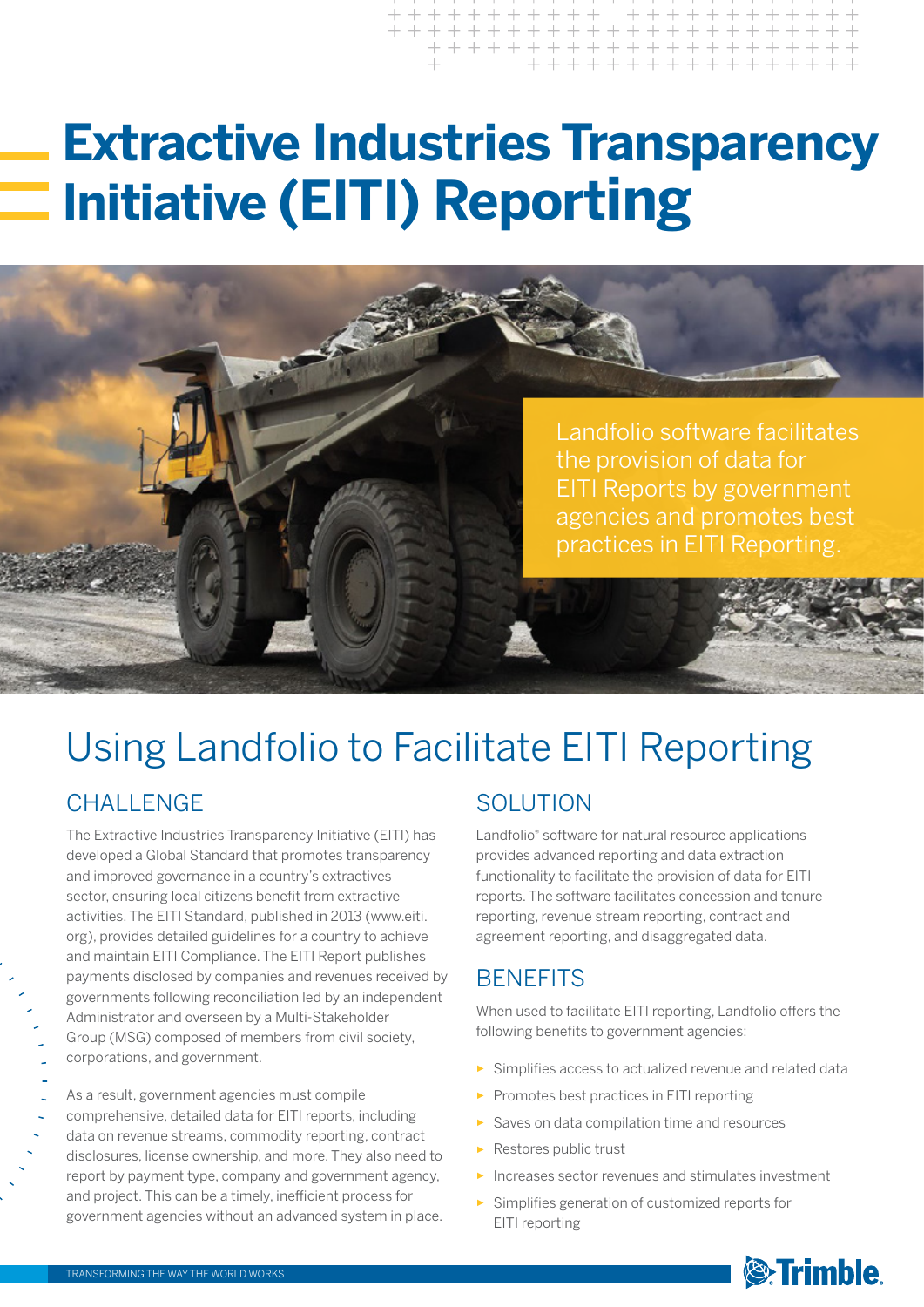# **Extractive Industries Transparency Initiative (EITI) Reporting**



# Using Landfolio to Facilitate EITI Reporting

## **CHALLENGE**

The Extractive Industries Transparency Initiative (EITI) has developed a Global Standard that promotes transparency and improved governance in a country's extractives sector, ensuring local citizens benefit from extractive activities. The EITI Standard, published in 2013 (www.eiti. org), provides detailed guidelines for a country to achieve and maintain EITI Compliance. The EITI Report publishes payments disclosed by companies and revenues received by governments following reconciliation led by an independent Administrator and overseen by a Multi-Stakeholder Group (MSG) composed of members from civil society, corporations, and government.

As a result, government agencies must compile comprehensive, detailed data for EITI reports, including data on revenue streams, commodity reporting, contract disclosures, license ownership, and more. They also need to report by payment type, company and government agency, and project. This can be a timely, inefficient process for government agencies without an advanced system in place.

## SOLUTION

Landfolio® software for natural resource applications provides advanced reporting and data extraction functionality to facilitate the provision of data for EITI reports. The software facilitates concession and tenure reporting, revenue stream reporting, contract and agreement reporting, and disaggregated data.

## **BENEFITS**

When used to facilitate EITI reporting, Landfolio offers the following benefits to government agencies:

- ► Simplifies access to actualized revenue and related data
- ► Promotes best practices in EITI reporting
- ► Saves on data compilation time and resources
- Restores public trust
- ► Increases sector revenues and stimulates investment
- ► Simplifies generation of customized reports for EITI reporting